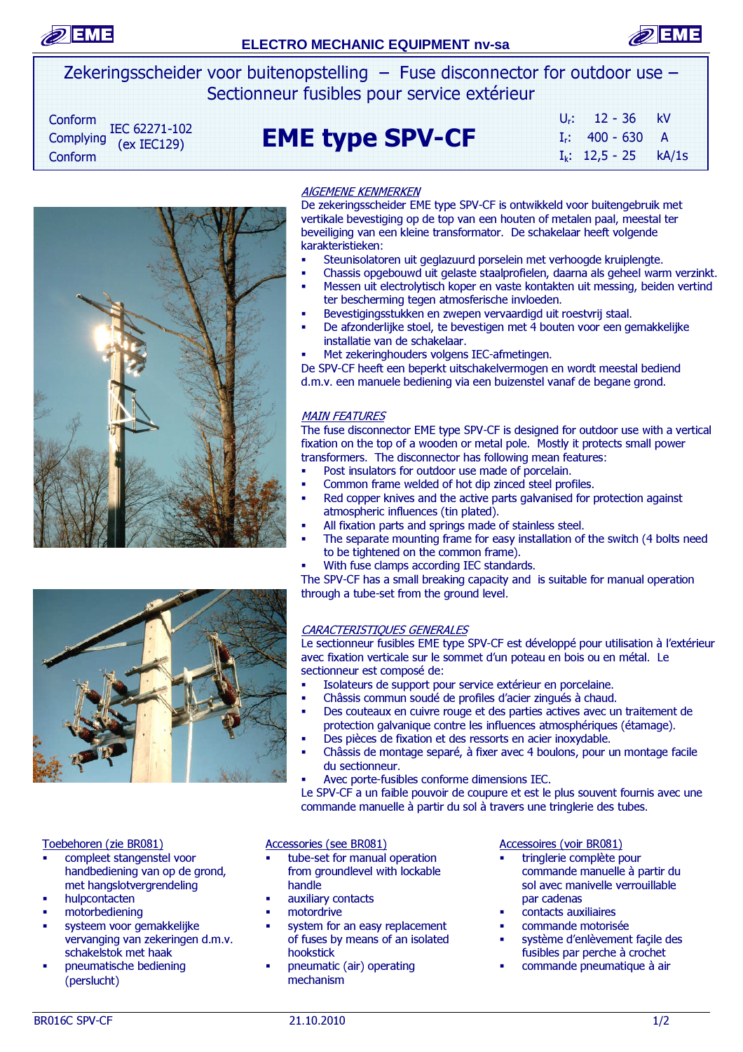



Zekeringsscheider voor buitenopstelling – Fuse disconnector for outdoor use – Sectionneur fusibles pour service extérieur

Conform IEC 62271-102  $(ex IEC129)$ Conform

# $\text{Complexing}$   $\text{EC}$   $622/1-102$   $\text{EME}$  type SPV-CF

| $U_{r}$ : | $12 - 36$         | kV             |
|-----------|-------------------|----------------|
|           | $I_r$ : 400 - 630 | $\overline{A}$ |
|           | $I_k$ : 12,5 - 25 | kA/1s          |





# AlGEMENE KENMERKEN

De zekeringsscheider EME type SPV-CF is ontwikkeld voor buitengebruik met vertikale bevestiging op de top van een houten of metalen paal, meestal ter beveiliging van een kleine transformator. De schakelaar heeft volgende karakteristieken:

- Steunisolatoren uit geglazuurd porselein met verhoogde kruiplengte.
- Chassis opgebouwd uit gelaste staalprofielen, daarna als geheel warm verzinkt. Messen uit electrolytisch koper en vaste kontakten uit messing, beiden vertind ter bescherming tegen atmosferische invloeden.
- Bevestigingsstukken en zwepen vervaardigd uit roestvrij staal.
- De afzonderlijke stoel, te bevestigen met 4 bouten voor een gemakkelijke installatie van de schakelaar.
- Met zekeringhouders volgens IEC-afmetingen.

De SPV-CF heeft een beperkt uitschakelvermogen en wordt meestal bediend d.m.v. een manuele bediening via een buizenstel vanaf de begane grond.

# MAIN FEATURES

The fuse disconnector EME type SPV-CF is designed for outdoor use with a vertical fixation on the top of a wooden or metal pole. Mostly it protects small power transformers. The disconnector has following mean features:

- **•** Post insulators for outdoor use made of porcelain.
- Common frame welded of hot dip zinced steel profiles.
- Red copper knives and the active parts galvanised for protection against atmospheric influences (tin plated).
- All fixation parts and springs made of stainless steel.
- The separate mounting frame for easy installation of the switch (4 bolts need to be tightened on the common frame).
- With fuse clamps according IEC standards.

The SPV-CF has a small breaking capacity and is suitable for manual operation through a tube-set from the ground level.

# CARACTERISTIQUES GENERALES

Le sectionneur fusibles EME type SPV-CF est développé pour utilisation à l'extérieur avec fixation verticale sur le sommet d'un poteau en bois ou en métal. Le sectionneur est composé de:

- Isolateurs de support pour service extérieur en porcelaine.
- Châssis commun soudé de profiles d'acier zingués à chaud.
- Des couteaux en cuivre rouge et des parties actives avec un traitement de protection galvanique contre les influences atmosphériques (étamage).
- Des pièces de fixation et des ressorts en acier inoxydable.
- Châssis de montage separé, à fixer avec 4 boulons, pour un montage facile du sectionneur.
- Avec porte-fusibles conforme dimensions IEC.

 Le SPV-CF a un faible pouvoir de coupure et est le plus souvent fournis avec une commande manuelle à partir du sol à travers une tringlerie des tubes.

#### Toebehoren (zie BR081)

- compleet stangenstel voor handbediening van op de grond, met hangslotvergrendeling
- hulpcontacten
- motorbediening
- systeem voor gemakkelijke vervanging van zekeringen d.m.v. schakelstok met haak
- pneumatische bediening (perslucht)

# Accessories (see BR081)

- tube-set for manual operation from groundlevel with lockable handle
- auxiliary contacts
- motordrive
- system for an easy replacement of fuses by means of an isolated hookstick
- pneumatic (air) operating mechanism

#### Accessoires (voir BR081)

- tringlerie complète pour commande manuelle à partir du sol avec manivelle verrouillable par cadenas
- contacts auxiliaires
- commande motorisée
- système d'enlèvement façile des fusibles par perche à crochet
- commande pneumatique à air